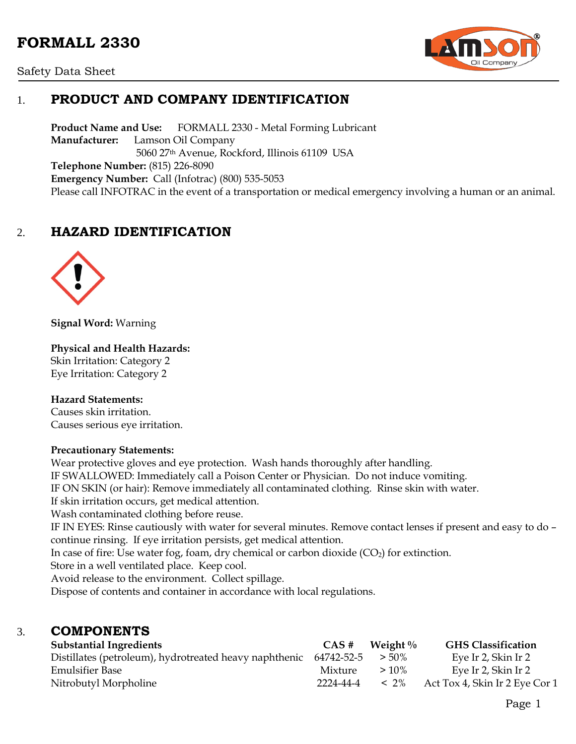# **FORMALL 2330**





## 1. **PRODUCT AND COMPANY IDENTIFICATION**

**Product Name and Use:** FORMALL 2330 - Metal Forming Lubricant **Manufacturer:** Lamson Oil Company 5060 27th Avenue, Rockford, Illinois 61109 USA **Telephone Number:** (815) 226-8090 **Emergency Number:** Call (Infotrac) (800) 535-5053 Please call INFOTRAC in the event of a transportation or medical emergency involving a human or an animal.

## 2. **HAZARD IDENTIFICATION**



**Signal Word:** Warning

#### **Physical and Health Hazards:**

Skin Irritation: Category 2 Eye Irritation: Category 2

#### **Hazard Statements:**

Causes skin irritation. Causes serious eye irritation.

#### **Precautionary Statements:**

Wear protective gloves and eye protection. Wash hands thoroughly after handling. IF SWALLOWED: Immediately call a Poison Center or Physician. Do not induce vomiting. IF ON SKIN (or hair): Remove immediately all contaminated clothing. Rinse skin with water. If skin irritation occurs, get medical attention. Wash contaminated clothing before reuse. IF IN EYES: Rinse cautiously with water for several minutes. Remove contact lenses if present and easy to do – continue rinsing. If eye irritation persists, get medical attention. In case of fire: Use water fog, foam, dry chemical or carbon dioxide  $(CO<sub>2</sub>)$  for extinction. Store in a well ventilated place. Keep cool. Avoid release to the environment. Collect spillage. Dispose of contents and container in accordance with local regulations.

### 3. **COMPONENTS**

| <b>Substantial Ingredients</b>                                              | $CAS \#$  | Weight $\%$ | <b>GHS Classification</b>      |
|-----------------------------------------------------------------------------|-----------|-------------|--------------------------------|
| Distillates (petroleum), hydrotreated heavy naphthenic $64742-52-5$ $>50\%$ |           |             | Eye Ir 2, Skin Ir 2            |
| <b>Emulsifier Base</b>                                                      | Mixture   | $>10\%$     | Eye Ir 2, Skin Ir 2            |
| Nitrobutyl Morpholine                                                       | 2224-44-4 | $< 2\%$     | Act Tox 4, Skin Ir 2 Eye Cor 1 |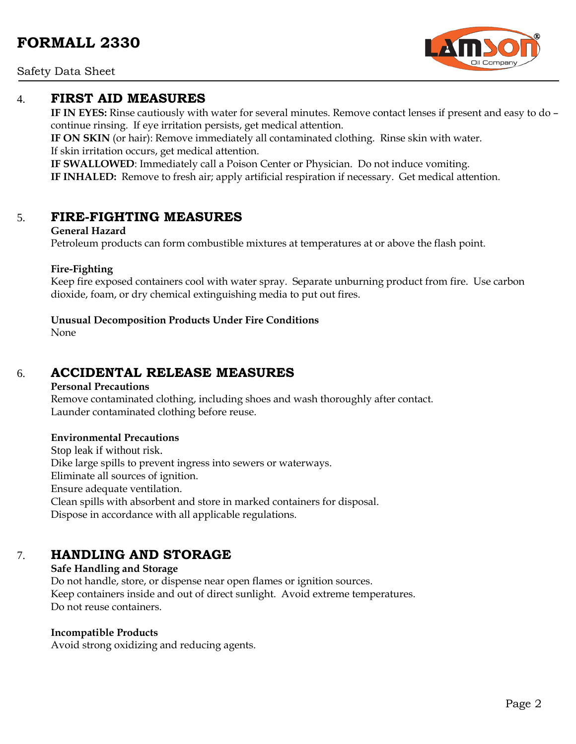Safety Data Sheet

### 4. **FIRST AID MEASURES**

**IF IN EYES:** Rinse cautiously with water for several minutes. Remove contact lenses if present and easy to do – continue rinsing. If eye irritation persists, get medical attention.

**IF ON SKIN** (or hair): Remove immediately all contaminated clothing. Rinse skin with water. If skin irritation occurs, get medical attention.

**IF SWALLOWED**: Immediately call a Poison Center or Physician. Do not induce vomiting. **IF INHALED:** Remove to fresh air; apply artificial respiration if necessary. Get medical attention.

## 5. **FIRE-FIGHTING MEASURES**

#### **General Hazard**

Petroleum products can form combustible mixtures at temperatures at or above the flash point.

#### **Fire-Fighting**

Keep fire exposed containers cool with water spray. Separate unburning product from fire. Use carbon dioxide, foam, or dry chemical extinguishing media to put out fires.

#### **Unusual Decomposition Products Under Fire Conditions**

None

## 6. **ACCIDENTAL RELEASE MEASURES**

#### **Personal Precautions**

Remove contaminated clothing, including shoes and wash thoroughly after contact. Launder contaminated clothing before reuse.

#### **Environmental Precautions**

Stop leak if without risk. Dike large spills to prevent ingress into sewers or waterways. Eliminate all sources of ignition. Ensure adequate ventilation. Clean spills with absorbent and store in marked containers for disposal. Dispose in accordance with all applicable regulations.

## 7. **HANDLING AND STORAGE**

#### **Safe Handling and Storage** Do not handle, store, or dispense near open flames or ignition sources. Keep containers inside and out of direct sunlight. Avoid extreme temperatures. Do not reuse containers.

#### **Incompatible Products**

Avoid strong oxidizing and reducing agents.

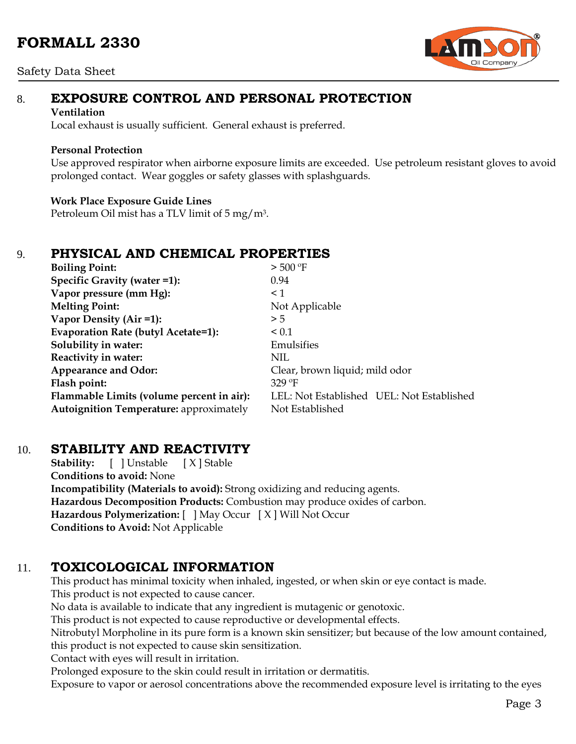#### Safety Data Sheet



# 8. **EXPOSURE CONTROL AND PERSONAL PROTECTION**

#### **Ventilation**

Local exhaust is usually sufficient. General exhaust is preferred.

#### **Personal Protection**

Use approved respirator when airborne exposure limits are exceeded. Use petroleum resistant gloves to avoid prolonged contact. Wear goggles or safety glasses with splashguards.

#### **Work Place Exposure Guide Lines**

Petroleum Oil mist has a TLV limit of 5 mg/m3.

## 9. **PHYSICAL AND CHEMICAL PROPERTIES**

| <b>Boiling Point:</b>                          | $>$ 500 °F                                |  |  |
|------------------------------------------------|-------------------------------------------|--|--|
| Specific Gravity (water =1):                   | 0.94                                      |  |  |
| Vapor pressure (mm Hg):                        | $\leq$ 1                                  |  |  |
| <b>Melting Point:</b>                          | Not Applicable                            |  |  |
| Vapor Density (Air =1):                        | > 5                                       |  |  |
| Evaporation Rate (butyl Acetate=1):            | ${}_{0.1}$                                |  |  |
| Solubility in water:                           | Emulsifies                                |  |  |
| Reactivity in water:                           | NIL.                                      |  |  |
| Appearance and Odor:                           | Clear, brown liquid; mild odor            |  |  |
| Flash point:                                   | $329$ °F                                  |  |  |
| Flammable Limits (volume percent in air):      | LEL: Not Established UEL: Not Established |  |  |
| <b>Autoignition Temperature:</b> approximately | Not Established                           |  |  |

## 10. **STABILITY AND REACTIVITY**

**Stability:** [ ] Unstable [ X ] Stable **Conditions to avoid:** None **Incompatibility (Materials to avoid):** Strong oxidizing and reducing agents. **Hazardous Decomposition Products:** Combustion may produce oxides of carbon. **Hazardous Polymerization:** [ ] May Occur [ X ] Will Not Occur **Conditions to Avoid:** Not Applicable

## 11. **TOXICOLOGICAL INFORMATION**

This product has minimal toxicity when inhaled, ingested, or when skin or eye contact is made. This product is not expected to cause cancer. No data is available to indicate that any ingredient is mutagenic or genotoxic. This product is not expected to cause reproductive or developmental effects.

Nitrobutyl Morpholine in its pure form is a known skin sensitizer; but because of the low amount contained, this product is not expected to cause skin sensitization.

Contact with eyes will result in irritation.

Prolonged exposure to the skin could result in irritation or dermatitis.

Exposure to vapor or aerosol concentrations above the recommended exposure level is irritating to the eyes